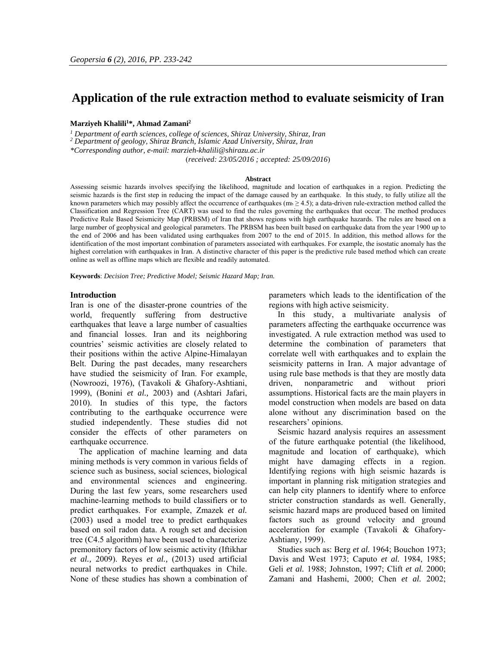# **Application of the rule extraction method to evaluate seismicity of Iran**

#### **Marziyeh Khalili<sup>1</sup>\*, Ahmad Zamani<sup>2</sup>**

*1 Department of earth sciences, college of sciences, Shiraz University, Shiraz, Iran* 

*2 Department of geology, Shiraz Branch, Islamic Azad University, Shiraz, Iran* 

*\*Corresponding author, e-mail: marzieh-khalili@shirazu.ac.ir*

(*received: 23/05/2016 ; accepted: 25/09/2016*)

#### **Abstract**

Assessing seismic hazards involves specifying the likelihood, magnitude and location of earthquakes in a region. Predicting the seismic hazards is the first step in reducing the impact of the damage caused by an earthquake. In this study, to fully utilize all the known parameters which may possibly affect the occurrence of earthquakes ( $m_b \ge 4.5$ ); a data-driven rule-extraction method called the Classification and Regression Tree (CART) was used to find the rules governing the earthquakes that occur. The method produces Predictive Rule Based Seismicity Map (PRBSM) of Iran that shows regions with high earthquake hazards. The rules are based on a large number of geophysical and geological parameters. The PRBSM has been built based on earthquake data from the year 1900 up to the end of 2006 and has been validated using earthquakes from 2007 to the end of 2015. In addition, this method allows for the identification of the most important combination of parameters associated with earthquakes. For example, the isostatic anomaly has the highest correlation with earthquakes in Iran. A distinctive character of this paper is the predictive rule based method which can create online as well as offline maps which are flexible and readily automated.

**Keywords**: *Decision Tree; Predictive Model; Seismic Hazard Map; Iran.* 

#### **Introduction**

Iran is one of the disaster-prone countries of the world, frequently suffering from destructive earthquakes that leave a large number of casualties and financial losses. Iran and its neighboring countries' seismic activities are closely related to their positions within the active Alpine-Himalayan Belt. During the past decades, many researchers have studied the seismicity of Iran. For example, (Nowroozi, 1976), (Tavakoli & Ghafory-Ashtiani, 1999), (Bonini *et al.,* 2003) and (Ashtari Jafari, 2010). In studies of this type, the factors contributing to the earthquake occurrence were studied independently. These studies did not consider the effects of other parameters on earthquake occurrence.

The application of machine learning and data mining methods is very common in various fields of science such as business, social sciences, biological and environmental sciences and engineering. During the last few years, some researchers used machine-learning methods to build classifiers or to predict earthquakes. For example, Zmazek *et al.* (2003) used a model tree to predict earthquakes based on soil radon data. A rough set and decision tree (C4.5 algorithm) have been used to characterize premonitory factors of low seismic activity (Iftikhar *et al.,* 2009). Reyes *et al.,* (2013) used artificial neural networks to predict earthquakes in Chile. None of these studies has shown a combination of

parameters which leads to the identification of the regions with high active seismicity.

In this study, a multivariate analysis of parameters affecting the earthquake occurrence was investigated. A rule extraction method was used to determine the combination of parameters that correlate well with earthquakes and to explain the seismicity patterns in Iran. A major advantage of using rule base methods is that they are mostly data driven, nonparametric and without priori assumptions. Historical facts are the main players in model construction when models are based on data alone without any discrimination based on the researchers' opinions.

Seismic hazard analysis requires an assessment of the future earthquake potential (the likelihood, magnitude and location of earthquake), which might have damaging effects in a region. Identifying regions with high seismic hazards is important in planning risk mitigation strategies and can help city planners to identify where to enforce stricter construction standards as well. Generally, seismic hazard maps are produced based on limited factors such as ground velocity and ground acceleration for example (Tavakoli & Ghafory-Ashtiany, 1999).

Studies such as: Berg *et al.* 1964; Bouchon 1973; Davis and West 1973; Caputo *et al.* 1984, 1985; Geli *et al.* 1988; Johnston, 1997; Clift *et al.* 2000; Zamani and Hashemi, 2000; Chen *et al.* 2002;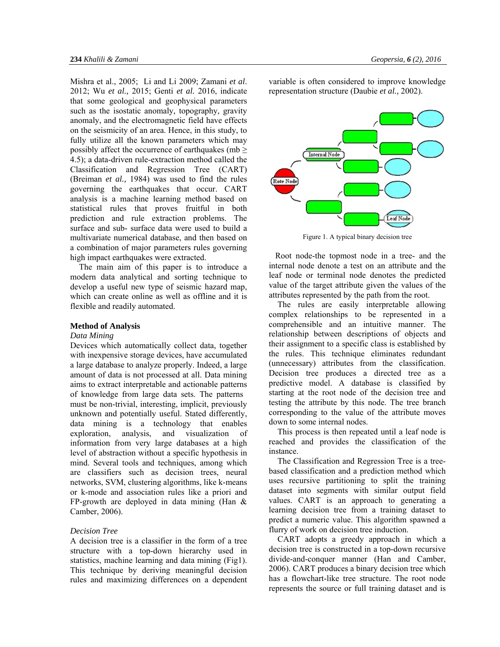Mishra et al., 2005; Li and Li 2009; Zamani *et al*. 2012; Wu *et al.,* 2015; Genti *et al.* 2016, indicate that some geological and geophysical parameters such as the isostatic anomaly, topography, gravity anomaly, and the electromagnetic field have effects on the seismicity of an area. Hence, in this study, to fully utilize all the known parameters which may possibly affect the occurrence of earthquakes (mb  $\geq$ 4.5); a data-driven rule-extraction method called the Classification and Regression Tree (CART) (Breiman *et al.,* 1984) was used to find the rules governing the earthquakes that occur. CART analysis is a machine learning method based on statistical rules that proves fruitful in both prediction and rule extraction problems. The surface and sub- surface data were used to build a multivariate numerical database, and then based on a combination of major parameters rules governing high impact earthquakes were extracted.

The main aim of this paper is to introduce a modern data analytical and sorting technique to develop a useful new type of seismic hazard map, which can create online as well as offline and it is flexible and readily automated.

## **Method of Analysis**

#### *Data Mining*

Devices which automatically collect data, together with inexpensive storage devices, have accumulated a large database to analyze properly. Indeed, a large amount of data is not processed at all. Data mining aims to extract interpretable and actionable patterns of knowledge from large data sets. The patterns must be non-trivial, interesting, implicit, previously unknown and potentially useful. Stated differently, data mining is a technology that enables exploration, analysis, and visualization of information from very large databases at a high level of abstraction without a specific hypothesis in mind. Several tools and techniques, among which are classifiers such as decision trees, neural networks, SVM, clustering algorithms, like k-means or k-mode and association rules like a priori and FP-growth are deployed in data mining (Han & Camber, 2006).

# *Decision Tree*

A decision tree is a classifier in the form of a tree structure with a top-down hierarchy used in statistics, machine learning and data mining (Fig1). This technique by deriving meaningful decision rules and maximizing differences on a dependent variable is often considered to improve knowledge representation structure (Daubie *et al.,* 2002).



Figure 1. A typical binary decision tree

 Root node-the topmost node in a tree- and the internal node denote a test on an attribute and the leaf node or terminal node denotes the predicted value of the target attribute given the values of the attributes represented by the path from the root.

The rules are easily interpretable allowing complex relationships to be represented in a comprehensible and an intuitive manner. The relationship between descriptions of objects and their assignment to a specific class is established by the rules. This technique eliminates redundant (unnecessary) attributes from the classification. Decision tree produces a directed tree as a predictive model. A database is classified by starting at the root node of the decision tree and testing the attribute by this node. The tree branch corresponding to the value of the attribute moves down to some internal nodes.

This process is then repeated until a leaf node is reached and provides the classification of the instance.

The Classification and Regression Tree is a treebased classification and a prediction method which uses recursive partitioning to split the training dataset into segments with similar output field values. CART is an approach to generating a learning decision tree from a training dataset to predict a numeric value. This algorithm spawned a flurry of work on decision tree induction.

CART adopts a greedy approach in which a decision tree is constructed in a top-down recursive divide-and-conquer manner (Han and Camber, 2006). CART produces a binary decision tree which has a flowchart-like tree structure. The root node represents the source or full training dataset and is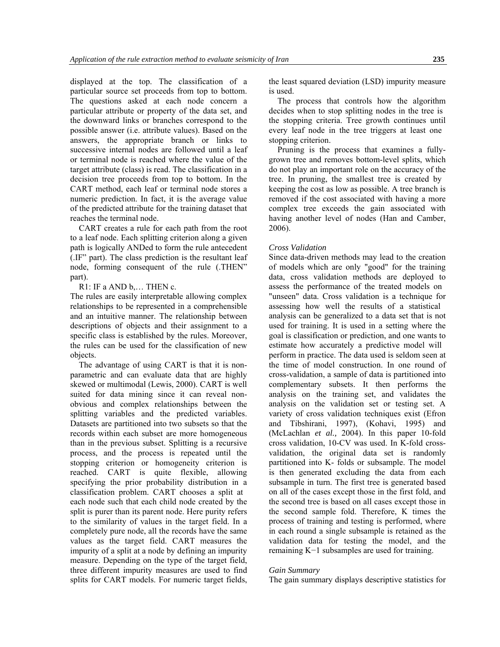displayed at the top. The classification of a particular source set proceeds from top to bottom. The questions asked at each node concern a particular attribute or property of the data set, and the downward links or branches correspond to the possible answer (i.e. attribute values). Based on the answers, the appropriate branch or links to successive internal nodes are followed until a leaf or terminal node is reached where the value of the target attribute (class) is read. The classification in a decision tree proceeds from top to bottom. In the CART method, each leaf or terminal node stores a numeric prediction. In fact, it is the average value of the predicted attribute for the training dataset that reaches the terminal node.

CART creates a rule for each path from the root to a leaf node. Each splitting criterion along a given path is logically ANDed to form the rule antecedent (.IF" part). The class prediction is the resultant leaf node, forming consequent of the rule (.THEN" part).

R1: IF a AND b,… THEN c.

The rules are easily interpretable allowing complex relationships to be represented in a comprehensible and an intuitive manner. The relationship between descriptions of objects and their assignment to a specific class is established by the rules. Moreover, the rules can be used for the classification of new objects.

The advantage of using CART is that it is nonparametric and can evaluate data that are highly skewed or multimodal (Lewis, 2000). CART is well suited for data mining since it can reveal nonobvious and complex relationships between the splitting variables and the predicted variables. Datasets are partitioned into two subsets so that the records within each subset are more homogeneous than in the previous subset. Splitting is a recursive process, and the process is repeated until the stopping criterion or homogeneity criterion is reached. CART is quite flexible, allowing specifying the prior probability distribution in a classification problem. CART chooses a split at each node such that each child node created by the split is purer than its parent node. Here purity refers to the similarity of values in the target field. In a completely pure node, all the records have the same values as the target field. CART measures the impurity of a split at a node by defining an impurity measure. Depending on the type of the target field, three different impurity measures are used to find splits for CART models. For numeric target fields, the least squared deviation (LSD) impurity measure is used.

The process that controls how the algorithm decides when to stop splitting nodes in the tree is the stopping criteria. Tree growth continues until every leaf node in the tree triggers at least one stopping criterion.

Pruning is the process that examines a fullygrown tree and removes bottom-level splits, which do not play an important role on the accuracy of the tree. In pruning, the smallest tree is created by keeping the cost as low as possible. A tree branch is removed if the cost associated with having a more complex tree exceeds the gain associated with having another level of nodes (Han and Camber, 2006).

## *Cross Validation*

Since data-driven methods may lead to the creation of models which are only "good" for the training data, cross validation methods are deployed to assess the performance of the treated models on "unseen" data. Cross validation is a technique for assessing how well the results of a statistical analysis can be generalized to a data set that is not used for training. It is used in a setting where the goal is classification or prediction, and one wants to estimate how accurately a predictive model will perform in practice. The data used is seldom seen at the time of model construction. In one round of cross-validation, a sample of data is partitioned into complementary subsets. It then performs the analysis on the training set, and validates the analysis on the validation set or testing set. A variety of cross validation techniques exist (Efron and Tibshirani, 1997), (Kohavi, 1995) and (McLachlan *et al.,* 2004). In this paper 10-fold cross validation, 10-CV was used. In K-fold crossvalidation, the original data set is randomly partitioned into K- folds or subsample. The model is then generated excluding the data from each subsample in turn. The first tree is generated based on all of the cases except those in the first fold, and the second tree is based on all cases except those in the second sample fold. Therefore, K times the process of training and testing is performed, where in each round a single subsample is retained as the validation data for testing the model, and the remaining K−1 subsamples are used for training.

## *Gain Summary*

The gain summary displays descriptive statistics for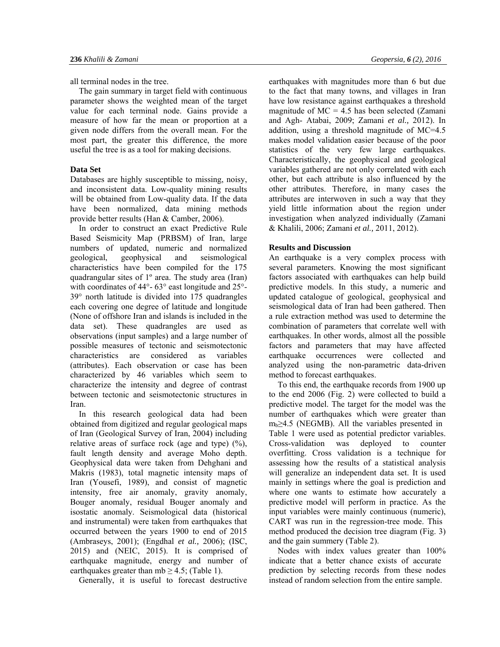all terminal nodes in the tree.

The gain summary in target field with continuous parameter shows the weighted mean of the target value for each terminal node. Gains provide a measure of how far the mean or proportion at a given node differs from the overall mean. For the most part, the greater this difference, the more useful the tree is as a tool for making decisions.

# **Data Set**

Databases are highly susceptible to missing, noisy, and inconsistent data. Low-quality mining results will be obtained from Low-quality data. If the data have been normalized, data mining methods provide better results (Han & Camber, 2006).

In order to construct an exact Predictive Rule Based Seismicity Map (PRBSM) of Iran, large numbers of updated, numeric and normalized geological, geophysical and seismological characteristics have been compiled for the 175 quadrangular sites of 1º area. The study area (Iran) with coordinates of 44°- 63° east longitude and 25°- 39° north latitude is divided into 175 quadrangles each covering one degree of latitude and longitude (None of offshore Iran and islands is included in the data set). These quadrangles are used as observations (input samples) and a large number of possible measures of tectonic and seismotectonic characteristics are considered as variables (attributes). Each observation or case has been characterized by 46 variables which seem to characterize the intensity and degree of contrast between tectonic and seismotectonic structures in Iran.

In this research geological data had been obtained from digitized and regular geological maps of Iran (Geological Survey of Iran, 2004) including relative areas of surface rock (age and type) (%), fault length density and average Moho depth. Geophysical data were taken from Dehghani and Makris (1983), total magnetic intensity maps of Iran (Yousefi, 1989), and consist of magnetic intensity, free air anomaly, gravity anomaly, Bouger anomaly, residual Bouger anomaly and isostatic anomaly. Seismological data (historical and instrumental) were taken from earthquakes that occurred between the years 1900 to end of 2015 (Ambraseys, 2001); (Engdhal *et al.,* 2006); (ISC, 2015) and (NEIC, 2015). It is comprised of earthquake magnitude, energy and number of earthquakes greater than mb  $\geq$  4.5; (Table 1).

Generally, it is useful to forecast destructive

earthquakes with magnitudes more than 6 but due to the fact that many towns, and villages in Iran have low resistance against earthquakes a threshold magnitude of  $MC = 4.5$  has been selected (Zamani and Agh- Atabai, 2009; Zamani *et al.,* 2012). In addition, using a threshold magnitude of MC=4.5 makes model validation easier because of the poor statistics of the very few large earthquakes. Characteristically, the geophysical and geological variables gathered are not only correlated with each other, but each attribute is also influenced by the other attributes. Therefore, in many cases the attributes are interwoven in such a way that they yield little information about the region under investigation when analyzed individually (Zamani & Khalili, 2006; Zamani *et al.,* 2011, 2012).

# **Results and Discussion**

An earthquake is a very complex process with several parameters. Knowing the most significant factors associated with earthquakes can help build predictive models. In this study, a numeric and updated catalogue of geological, geophysical and seismological data of Iran had been gathered. Then a rule extraction method was used to determine the combination of parameters that correlate well with earthquakes. In other words, almost all the possible factors and parameters that may have affected earthquake occurrences were collected and analyzed using the non-parametric data-driven method to forecast earthquakes.

To this end, the earthquake records from 1900 up to the end 2006 (Fig. 2) were collected to build a predictive model. The target for the model was the number of earthquakes which were greater than  $m_b \geq 4.5$  (NEGMB). All the variables presented in Table 1 were used as potential predictor variables. Cross-validation was deployed to counter overfitting. Cross validation is a technique for assessing how the results of a statistical analysis will generalize an independent data set. It is used mainly in settings where the goal is prediction and where one wants to estimate how accurately a predictive model will perform in practice. As the input variables were mainly continuous (numeric), CART was run in the regression-tree mode. This method produced the decision tree diagram (Fig. 3) and the gain summery (Table 2).

Nodes with index values greater than 100% indicate that a better chance exists of accurate prediction by selecting records from these nodes instead of random selection from the entire sample.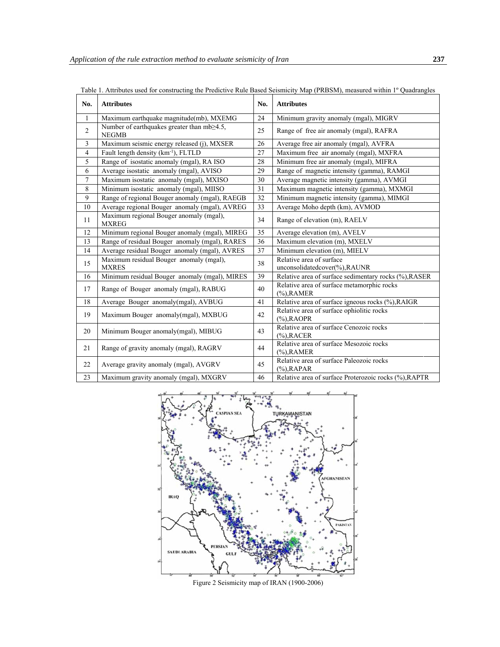| No.            | <b>Attributes</b>                                                 | No. | <b>Attributes</b>                                            |
|----------------|-------------------------------------------------------------------|-----|--------------------------------------------------------------|
| 1              | Maximum earthquake magnitude(mb), MXEMG                           | 24  | Minimum gravity anomaly (mgal), MIGRV                        |
| $\overline{c}$ | Number of earthquakes greater than $mb \ge 4.5$ ,<br><b>NEGMB</b> | 25  | Range of free air anomaly (mgal), RAFRA                      |
| 3              | Maximum seismic energy released (j), MXSER                        | 26  | Average free air anomaly (mgal), AVFRA                       |
| $\overline{4}$ | Fault length density (km <sup>-1</sup> ), FLTLD                   | 27  | Maximum free air anomaly (mgal), MXFRA                       |
| 5              | Range of isostatic anomaly (mgal), RA ISO                         | 28  | Minimum free air anomaly (mgal), MIFRA                       |
| 6              | Average isostatic anomaly (mgal), AVISO                           | 29  | Range of magnetic intensity (gamma), RAMGI                   |
| $\overline{7}$ | Maximum isostatic anomaly (mgal), MXISO                           | 30  | Average magnetic intensity (gamma), AVMGI                    |
| 8              | Minimum isostatic anomaly (mgal), MIISO                           | 31  | Maximum magnetic intensity (gamma), MXMGI                    |
| 9              | Range of regional Bouger anomaly (mgal), RAEGB                    | 32  | Minimum magnetic intensity (gamma), MIMGI                    |
| 10             | Average regional Bouger anomaly (mgal), AVREG                     | 33  | Average Moho depth (km), AVMOD                               |
| 11             | Maximum regional Bouger anomaly (mgal),<br><b>MXREG</b>           | 34  | Range of elevation (m), RAELV                                |
| 12             | Minimum regional Bouger anomaly (mgal), MIREG                     | 35  | Average elevation (m), AVELV                                 |
| 13             | Range of residual Bouger anomaly (mgal), RARES                    | 36  | Maximum elevation (m), MXELV                                 |
| 14             | Average residual Bouger anomaly (mgal), AVRES                     | 37  | Minimum elevation (m), MIELV                                 |
| 15             | Maximum residual Bouger anomaly (mgal),<br><b>MXRES</b>           | 38  | Relative area of surface<br>unconsolidatedcover(%), RAUNR    |
| 16             | Minimum residual Bouger anomaly (mgal), MIRES                     | 39  | Relative area of surface sedimentary rocks (%), RASER        |
| 17             | Range of Bouger anomaly (mgal), RABUG                             | 40  | Relative area of surface metamorphic rocks<br>$(\%)$ , RAMER |
| 18             | Average Bouger anomaly(mgal), AVBUG                               | 41  | Relative area of surface igneous rocks (%), RAIGR            |
| 19             | Maximum Bouger anomaly(mgal), MXBUG                               | 42  | Relative area of surface ophiolitic rocks<br>$(\%)$ , RAOPR  |
| 20             | Minimum Bouger anomaly(mgal), MIBUG                               | 43  | Relative area of surface Cenozoic rocks<br>$(%)$ , RACER     |
| 21             | Range of gravity anomaly (mgal), RAGRV                            | 44  | Relative area of surface Mesozoic rocks<br>$(%)$ , RAMER     |
| 22             | Average gravity anomaly (mgal), AVGRV                             | 45  | Relative area of surface Paleozoic rocks<br>$(\%)$ , RAPAR   |
| 23             | Maximum gravity anomaly (mgal), MXGRV                             | 46  | Relative area of surface Proterozoic rocks (%), RAPTR        |

Table 1. Attributes used for constructing the Predictive Rule Based Seismicity Map (PRBSM), measured within 1° Quadrangles



Figure 2 Seismicity map of IRAN (1900-2006)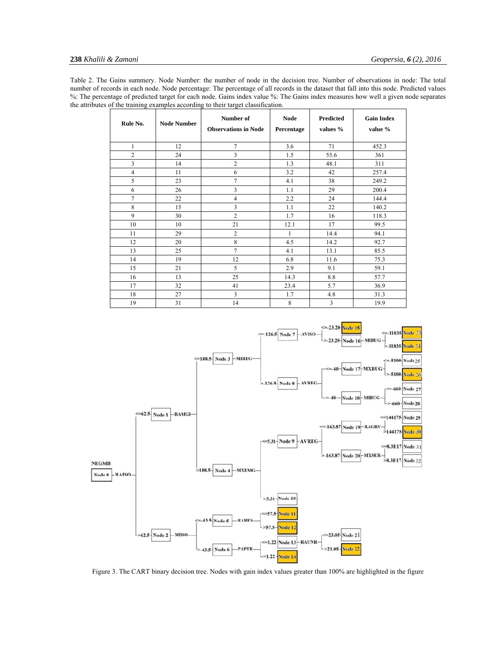Table 2. The Gains summery. Node Number: the number of node in the decision tree. Number of observations in node: The total number of records in each node. Node percentage: The percentage of all records in the dataset that fall into this node. Predicted values %: The percentage of predicted target for each node. Gains index value %: The Gains index measures how well a given node separates the attributes of the training examples according to their target classification.

| Rule No.       | <b>Node Number</b> | Number of<br><b>Observations in Node</b> | <b>Node</b><br>Percentage | Predicted<br>values % | <b>Gain Index</b><br>value % |
|----------------|--------------------|------------------------------------------|---------------------------|-----------------------|------------------------------|
| 1              | 12                 | $\tau$                                   | 3.6                       | 71                    | 452.3                        |
| $\overline{c}$ | 24                 | $\overline{3}$                           | 1.5                       | 55.6                  | 361                          |
| 3              | 14                 | $\overline{2}$                           | 1.3                       | 48.1                  | 311                          |
| $\overline{4}$ | 11                 | 6                                        | 3.2                       | 42                    | 257.4                        |
| 5              | 23                 | $\overline{7}$                           | 4.1                       | 38                    | 249.2                        |
| 6              | 26                 | 3                                        | 1.1                       | 29                    | 200.4                        |
| $\overline{7}$ | 22                 | $\overline{4}$                           | 2.2                       | 24                    | 144.4                        |
| 8              | 15                 | 3                                        | 1.1                       | 22                    | 140.2                        |
| 9              | 30                 | $\overline{2}$                           | 1.7                       | 16                    | 118.3                        |
| 10             | 10                 | 21                                       | 12.1                      | 17                    | 99.5                         |
| 11             | 29                 | $\overline{2}$                           | 1                         | 14.4                  | 94.1                         |
| 12             | 20                 | 8                                        | 4.5                       | 14.2                  | 92.7                         |
| 13             | 25                 | $\tau$                                   | 4.1                       | 13.1                  | 85.5                         |
| 14             | 19                 | 12                                       | 6.8                       | 11.6                  | 75.3                         |
| 15             | 21                 | 5                                        | 2.9                       | 9.1                   | 59.1                         |
| 16             | 13                 | 25                                       | 14.3                      | 8.8                   | 57.7                         |
| 17             | 32                 | 41                                       | 23.4                      | 5.7                   | 36.9                         |
| 18             | 27                 | 3                                        | 1.7                       | 4.8                   | 31.3                         |
| 19             | 31                 | 14                                       | 8                         | 3                     | 19.9                         |



Figure 3. The CART binary decision tree. Nodes with gain index values greater than 100% are highlighted in the figure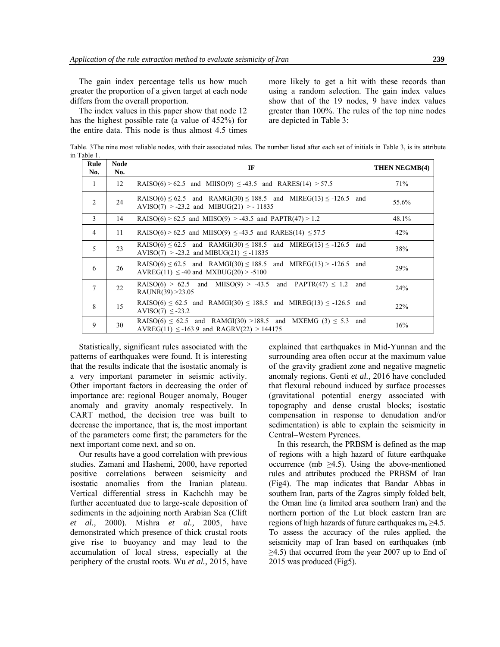The gain index percentage tells us how much greater the proportion of a given target at each node differs from the overall proportion.

The index values in this paper show that node 12 has the highest possible rate (a value of 452%) for the entire data. This node is thus almost 4.5 times more likely to get a hit with these records than using a random selection. The gain index values show that of the 19 nodes, 9 have index values greater than 100%. The rules of the top nine nodes are depicted in Table 3:

Table. 3The nine most reliable nodes, with their associated rules. The number listed after each set of initials in Table 3, is its attribute in Table 1.

| Rule<br>No.    | <b>Node</b><br>No. | IF                                                                                                                             | THEN NEGMB(4) |
|----------------|--------------------|--------------------------------------------------------------------------------------------------------------------------------|---------------|
| $\overline{1}$ | 12                 | RAISO(6) > 62.5 and MIISO(9) $\le$ -43.5 and RARES(14) > 57.5                                                                  | 71%           |
| 2              | 24                 | RAISO(6) $\leq 62.5$ and RAMGI(30) $\leq 188.5$ and MIREG(13) $\leq -126.5$ and<br>$AVISO(7) > -23.2$ and $MIBUG(21) > -11835$ | 55.6%         |
| 3              | 14                 | RAISO(6) > 62.5 and MIISO(9) > -43.5 and PAPTR(47) > 1.2                                                                       | 48.1%         |
| $\overline{4}$ | 11                 | RAISO(6) > 62.5 and MIISO(9) $\le$ -43.5 and RARES(14) $\le$ 57.5                                                              | 42%           |
| 5              | 23                 | RAISO(6) $\leq 62.5$ and RAMGI(30) $\leq 188.5$ and MIREG(13) $\leq -126.5$ and<br>AVISO(7) > -23.2 and MIBUG(21) $\le$ -11835 | 38%           |
| 6              | 26                 | RAISO(6) $\leq 62.5$ and RAMGI(30) $\leq 188.5$ and MIREG(13) > -126.5 and<br>$AVREG(11) \le -40$ and $MXBUG(20) > -5100$      | 29%           |
| $\tau$         | 22                 | RAISO(6) > 62.5 and MIISO(9) > -43.5 and PAPTR(47) $\leq$ 1.2 and<br>RAUNR $(39) > 23.05$                                      | 24%           |
| 8              | 15                 | RAISO(6) $\leq 62.5$ and RAMGI(30) $\leq 188.5$ and MIREG(13) $\leq -126.5$ and<br>AVISO(7) $\le$ -23.2                        | 22%           |
| 9              | 30                 | RAISO(6) $\leq 62.5$ and RAMGI(30) >188.5 and MXEMG (3) $\leq 5.3$ and<br>AVREG(11) $\le$ -163.9 and RAGRV(22) > 144175        | 16%           |

Statistically, significant rules associated with the patterns of earthquakes were found. It is interesting that the results indicate that the isostatic anomaly is a very important parameter in seismic activity. Other important factors in decreasing the order of importance are: regional Bouger anomaly, Bouger anomaly and gravity anomaly respectively*.* In CART method, the decision tree was built to decrease the importance, that is, the most important of the parameters come first; the parameters for the next important come next, and so on.

Our results have a good correlation with previous studies. Zamani and Hashemi, 2000, have reported positive correlations between seismicity and isostatic anomalies from the Iranian plateau. Vertical differential stress in Kachchh may be further accentuated due to large-scale deposition of sediments in the adjoining north Arabian Sea (Clift *et al.,* 2000). Mishra *et al.,* 2005, have demonstrated which presence of thick crustal roots give rise to buoyancy and may lead to the accumulation of local stress, especially at the periphery of the crustal roots. Wu *et al.,* 2015, have explained that earthquakes in Mid-Yunnan and the surrounding area often occur at the maximum value of the gravity gradient zone and negative magnetic anomaly regions. Genti *et al.,* 2016 have concluded that flexural rebound induced by surface processes (gravitational potential energy associated with topography and dense crustal blocks; isostatic compensation in response to denudation and/or sedimentation) is able to explain the seismicity in Central–Western Pyrenees.

In this research, the PRBSM is defined as the map of regions with a high hazard of future earthquake occurrence (mb  $\geq$ 4.5). Using the above-mentioned rules and attributes produced the PRBSM of Iran (Fig4). The map indicates that Bandar Abbas in southern Iran, parts of the Zagros simply folded belt, the Oman line (a limited area southern Iran) and the northern portion of the Lut block eastern Iran are regions of high hazards of future earthquakes  $m_b \geq 4.5$ . To assess the accuracy of the rules applied, the seismicity map of Iran based on earthquakes (mb  $\geq$ 4.5) that occurred from the year 2007 up to End of 2015 was produced (Fig5).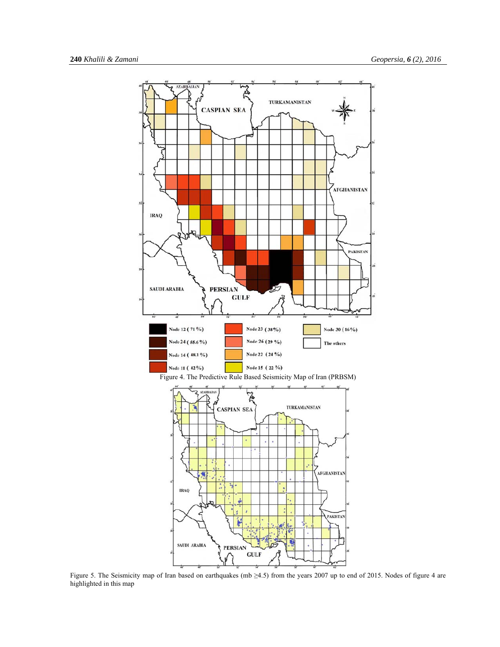

Figure 5. The Seismicity map of Iran based on earthquakes (mb ≥4.5) from the years 2007 up to end of 2015. Nodes of figure 4 are highlighted in this map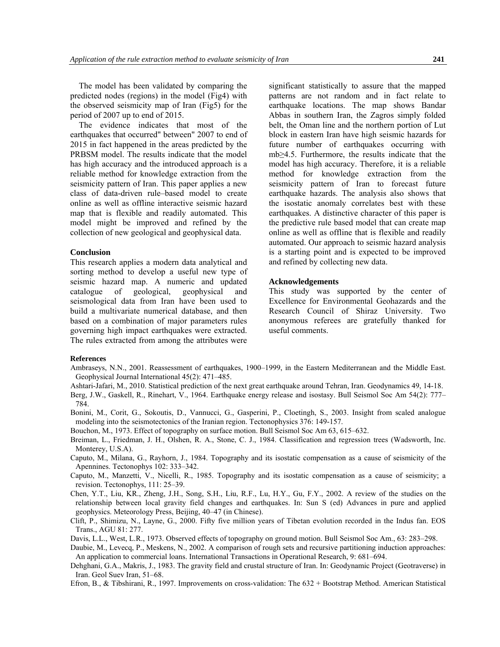The model has been validated by comparing the predicted nodes (regions) in the model (Fig4) with the observed seismicity map of Iran (Fig5) for the period of 2007 up to end of 2015.

The evidence indicates that most of the earthquakes that occurred" between" 2007 to end of 2015 in fact happened in the areas predicted by the PRBSM model. The results indicate that the model has high accuracy and the introduced approach is a reliable method for knowledge extraction from the seismicity pattern of Iran. This paper applies a new class of data-driven rule–based model to create online as well as offline interactive seismic hazard map that is flexible and readily automated. This model might be improved and refined by the collection of new geological and geophysical data.

# **Conclusion**

This research applies a modern data analytical and sorting method to develop a useful new type of seismic hazard map. A numeric and updated catalogue of geological, geophysical and seismological data from Iran have been used to build a multivariate numerical database, and then based on a combination of major parameters rules governing high impact earthquakes were extracted. The rules extracted from among the attributes were significant statistically to assure that the mapped patterns are not random and in fact relate to earthquake locations. The map shows Bandar Abbas in southern Iran, the Zagros simply folded belt, the Oman line and the northern portion of Lut block in eastern Iran have high seismic hazards for future number of earthquakes occurring with mb≥4.5. Furthermore, the results indicate that the model has high accuracy. Therefore, it is a reliable method for knowledge extraction from the seismicity pattern of Iran to forecast future earthquake hazards. The analysis also shows that the isostatic anomaly correlates best with these earthquakes. A distinctive character of this paper is the predictive rule based model that can create map online as well as offline that is flexible and readily automated. Our approach to seismic hazard analysis is a starting point and is expected to be improved and refined by collecting new data.

#### **Acknowledgements**

This study was supported by the center of Excellence for Environmental Geohazards and the Research Council of Shiraz University. Two anonymous referees are gratefully thanked for useful comments.

#### **References**

- Ambraseys, N.N., 2001. Reassessment of earthquakes, 1900–1999, in the Eastern Mediterranean and the Middle East. Geophysical Journal International 45(2): 471–485.
- Ashtari-Jafari, M., 2010. Statistical prediction of the next great earthquake around Tehran, Iran. Geodynamics 49, 14-18.

Berg, J.W., Gaskell, R., Rinehart, V., 1964. Earthquake energy release and isostasy. Bull Seismol Soc Am 54(2): 777– 784.

Bonini, M., Corit, G., Sokoutis, D., Vannucci, G., Gasperini, P., Cloetingh, S., 2003. Insight from scaled analogue modeling into the seismotectonics of the Iranian region. Tectonophysics 376: 149-157.

Bouchon, M., 1973. Effect of topography on surface motion. Bull Seismol Soc Am 63, 615–632.

- Breiman, L., Friedman, J. H., Olshen, R. A., Stone, C. J., 1984. Classification and regression trees (Wadsworth, Inc. Monterey, U.S.A).
- Caputo, M., Milana, G., Rayhorn, J., 1984. Topography and its isostatic compensation as a cause of seismicity of the Apennines. Tectonophys 102: 333–342.
- Caputo, M., Manzetti, V., Nicelli, R., 1985. Topography and its isostatic compensation as a cause of seismicity; a revision. Tectonophys, 111: 25–39.
- Chen, Y.T., Liu, KR., Zheng, J.H., Song, S.H., Liu, R.F., Lu, H.Y., Gu, F.Y., 2002. A review of the studies on the relationship between local gravity field changes and earthquakes. In: Sun S (ed) Advances in pure and applied geophysics. Meteorology Press, Beijing, 40–47 (in Chinese).
- Clift, P., Shimizu, N., Layne, G., 2000. Fifty five million years of Tibetan evolution recorded in the Indus fan. EOS Trans., AGU 81: 277.

Davis, L.L., West, L.R., 1973. Observed effects of topography on ground motion. Bull Seismol Soc Am., 63: 283–298.

- Daubie, M., Levecq, P., Meskens, N., 2002. A comparison of rough sets and recursive partitioning induction approaches: An application to commercial loans. International Transactions in Operational Research, 9: 681–694.
- Dehghani, G.A., Makris, J., 1983. The gravity field and crustal structure of Iran. In: Geodynamic Project (Geotraverse) in Iran. Geol Suev Iran, 51–68.

Efron, B., & Tibshirani, R., 1997. Improvements on cross-validation: The 632 + Bootstrap Method. American Statistical